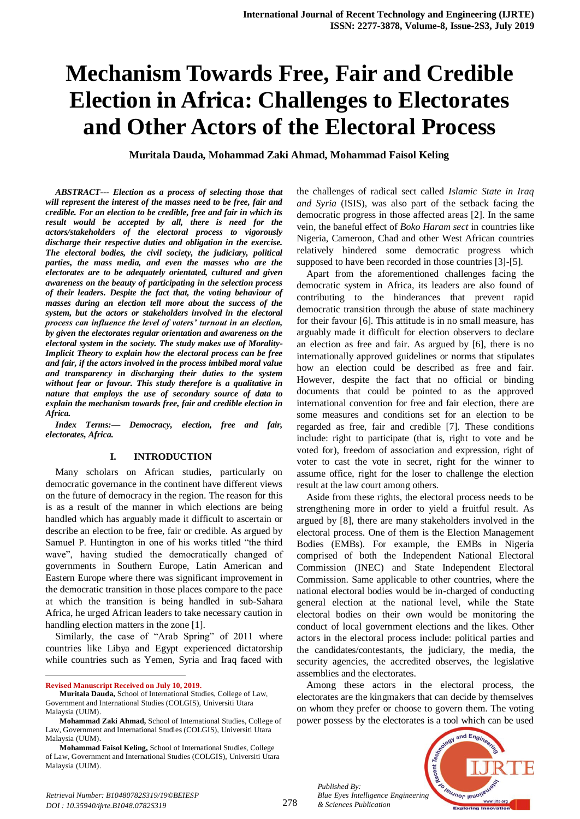# **Mechanism Towards Free, Fair and Credible Election in Africa: Challenges to Electorates and Other Actors of the Electoral Process**

**Muritala Dauda, Mohammad Zaki Ahmad, Mohammad Faisol Keling**

*ABSTRACT--- Election as a process of selecting those that will represent the interest of the masses need to be free, fair and credible. For an election to be credible, free and fair in which its result would be accepted by all, there is need for the actors/stakeholders of the electoral process to vigorously discharge their respective duties and obligation in the exercise. The electoral bodies, the civil society, the judiciary, political parties, the mass media, and even the masses who are the electorates are to be adequately orientated, cultured and given awareness on the beauty of participating in the selection process of their leaders. Despite the fact that, the voting behaviour of masses during an election tell more about the success of the system, but the actors or stakeholders involved in the electoral process can influence the level of voters' turnout in an election, by given the electorates regular orientation and awareness on the electoral system in the society. The study makes use of Morality-Implicit Theory to explain how the electoral process can be free and fair, if the actors involved in the process imbibed moral value and transparency in discharging their duties to the system without fear or favour. This study therefore is a qualitative in nature that employs the use of secondary source of data to explain the mechanism towards free, fair and credible election in Africa.*

*Index Terms:— Democracy, election, free and fair, electorates, Africa.*

#### **I. INTRODUCTION**

Many scholars on African studies, particularly on democratic governance in the continent have different views on the future of democracy in the region. The reason for this is as a result of the manner in which elections are being handled which has arguably made it difficult to ascertain or describe an election to be free, fair or credible. As argued by Samuel P. Huntington in one of his works titled "the third wave", having studied the democratically changed of governments in Southern Europe, Latin American and Eastern Europe where there was significant improvement in the democratic transition in those places compare to the pace at which the transition is being handled in sub-Sahara Africa, he urged African leaders to take necessary caution in handling election matters in the zone [1].

Similarly, the case of "Arab Spring" of 2011 where countries like Libya and Egypt experienced dictatorship while countries such as Yemen, Syria and Iraq faced with

**Revised Manuscript Received on July 10, 2019.**

 $\ddot{\phantom{a}}$ 

the challenges of radical sect called *Islamic State in Iraq and Syria* (ISIS), was also part of the setback facing the democratic progress in those affected areas [2]. In the same vein, the baneful effect of *Boko Haram sect* in countries like Nigeria, Cameroon, Chad and other West African countries relatively hindered some democratic progress which supposed to have been recorded in those countries [3]-[5].

Apart from the aforementioned challenges facing the democratic system in Africa, its leaders are also found of contributing to the hinderances that prevent rapid democratic transition through the abuse of state machinery for their favour [6]. This attitude is in no small measure, has arguably made it difficult for election observers to declare an election as free and fair. As argued by [6], there is no internationally approved guidelines or norms that stipulates how an election could be described as free and fair. However, despite the fact that no official or binding documents that could be pointed to as the approved international convention for free and fair election, there are some measures and conditions set for an election to be regarded as free, fair and credible [7]. These conditions include: right to participate (that is, right to vote and be voted for), freedom of association and expression, right of voter to cast the vote in secret, right for the winner to assume office, right for the loser to challenge the election result at the law court among others.

Aside from these rights, the electoral process needs to be strengthening more in order to yield a fruitful result. As argued by [8], there are many stakeholders involved in the electoral process. One of them is the Election Management Bodies (EMBs). For example, the EMBs in Nigeria comprised of both the Independent National Electoral Commission (INEC) and State Independent Electoral Commission. Same applicable to other countries, where the national electoral bodies would be in-charged of conducting general election at the national level, while the State electoral bodies on their own would be monitoring the conduct of local government elections and the likes. Other actors in the electoral process include: political parties and the candidates/contestants, the judiciary, the media, the security agencies, the accredited observes, the legislative assemblies and the electorates.

Among these actors in the electoral process, the electorates are the kingmakers that can decide by themselves on whom they prefer or choose to govern them. The voting power possess by the electorates is a tool which can be used



*Published By:*

**Muritala Dauda,** School of International Studies, College of Law, Government and International Studies (COLGIS), Universiti Utara Malaysia (UUM).

**Mohammad Zaki Ahmad,** School of International Studies, College of Law, Government and International Studies (COLGIS), Universiti Utara Malaysia (UUM).

**Mohammad Faisol Keling,** School of International Studies, College of Law, Government and International Studies (COLGIS), Universiti Utara Malaysia (UUM).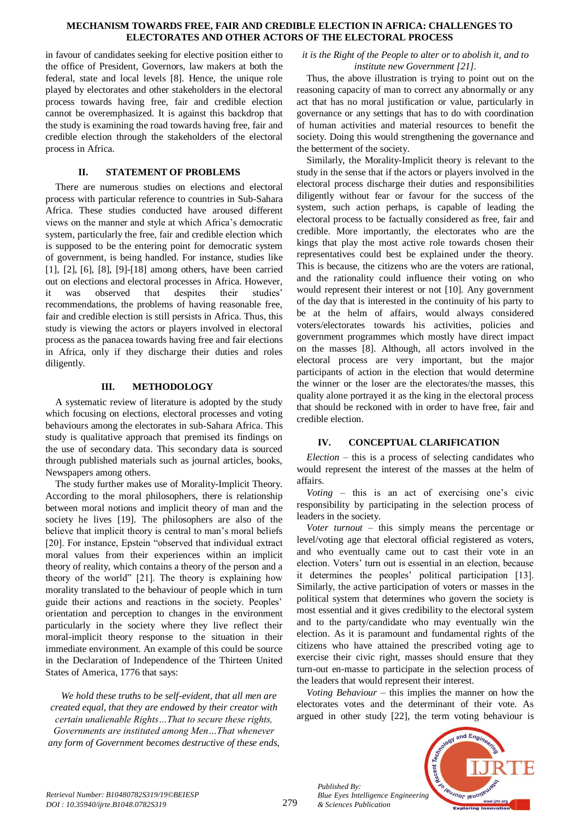#### **MECHANISM TOWARDS FREE, FAIR AND CREDIBLE ELECTION IN AFRICA: CHALLENGES TO ELECTORATES AND OTHER ACTORS OF THE ELECTORAL PROCESS**

in favour of candidates seeking for elective position either to the office of President, Governors, law makers at both the federal, state and local levels [8]. Hence, the unique role played by electorates and other stakeholders in the electoral process towards having free, fair and credible election cannot be overemphasized. It is against this backdrop that the study is examining the road towards having free, fair and credible election through the stakeholders of the electoral process in Africa.

## **II. STATEMENT OF PROBLEMS**

There are numerous studies on elections and electoral process with particular reference to countries in Sub-Sahara Africa. These studies conducted have aroused different views on the manner and style at which Africa's democratic system, particularly the free, fair and credible election which is supposed to be the entering point for democratic system of government, is being handled. For instance, studies like [1], [2], [6], [8], [9]-[18] among others, have been carried out on elections and electoral processes in Africa. However, it was observed that despites their studies' recommendations, the problems of having reasonable free, fair and credible election is still persists in Africa. Thus, this study is viewing the actors or players involved in electoral process as the panacea towards having free and fair elections in Africa, only if they discharge their duties and roles diligently.

## **III. METHODOLOGY**

A systematic review of literature is adopted by the study which focusing on elections, electoral processes and voting behaviours among the electorates in sub-Sahara Africa. This study is qualitative approach that premised its findings on the use of secondary data. This secondary data is sourced through published materials such as journal articles, books, Newspapers among others.

The study further makes use of Morality-Implicit Theory. According to the moral philosophers, there is relationship between moral notions and implicit theory of man and the society he lives [19]. The philosophers are also of the believe that implicit theory is central to man's moral beliefs [20]. For instance, Epstein "observed that individual extract moral values from their experiences within an implicit theory of reality, which contains a theory of the person and a theory of the world" [21]. The theory is explaining how morality translated to the behaviour of people which in turn guide their actions and reactions in the society. Peoples' orientation and perception to changes in the environment particularly in the society where they live reflect their moral-implicit theory response to the situation in their immediate environment. An example of this could be source in the Declaration of Independence of the Thirteen United States of America, 1776 that says:

*We hold these truths to be self-evident, that all men are created equal, that they are endowed by their creator with certain unalienable Rights…That to secure these rights, Governments are instituted among Men…That whenever any form of Government becomes destructive of these ends,* 

## *it is the Right of the People to alter or to abolish it, and to institute new Government [21].*

Thus, the above illustration is trying to point out on the reasoning capacity of man to correct any abnormally or any act that has no moral justification or value, particularly in governance or any settings that has to do with coordination of human activities and material resources to benefit the society. Doing this would strengthening the governance and the betterment of the society.

Similarly, the Morality-Implicit theory is relevant to the study in the sense that if the actors or players involved in the electoral process discharge their duties and responsibilities diligently without fear or favour for the success of the system, such action perhaps, is capable of leading the electoral process to be factually considered as free, fair and credible. More importantly, the electorates who are the kings that play the most active role towards chosen their representatives could best be explained under the theory. This is because, the citizens who are the voters are rational, and the rationality could influence their voting on who would represent their interest or not [10]. Any government of the day that is interested in the continuity of his party to be at the helm of affairs, would always considered voters/electorates towards his activities, policies and government programmes which mostly have direct impact on the masses [8]. Although, all actors involved in the electoral process are very important, but the major participants of action in the election that would determine the winner or the loser are the electorates/the masses, this quality alone portrayed it as the king in the electoral process that should be reckoned with in order to have free, fair and credible election.

## **IV. CONCEPTUAL CLARIFICATION**

 $Election - this$  is a process of selecting candidates who would represent the interest of the masses at the helm of affairs.

*Voting* – this is an act of exercising one's civic responsibility by participating in the selection process of leaders in the society.

*Voter turnout* – this simply means the percentage or level/voting age that electoral official registered as voters, and who eventually came out to cast their vote in an election. Voters' turn out is essential in an election, because it determines the peoples' political participation [13]. Similarly, the active participation of voters or masses in the political system that determines who govern the society is most essential and it gives credibility to the electoral system and to the party/candidate who may eventually win the election. As it is paramount and fundamental rights of the citizens who have attained the prescribed voting age to exercise their civic right, masses should ensure that they turn-out en-masse to participate in the selection process of the leaders that would represent their interest.

*Voting Behaviour* – this implies the manner on how the electorates votes and the determinant of their vote. As argued in other study [22], the term voting behaviour is



*Published By:*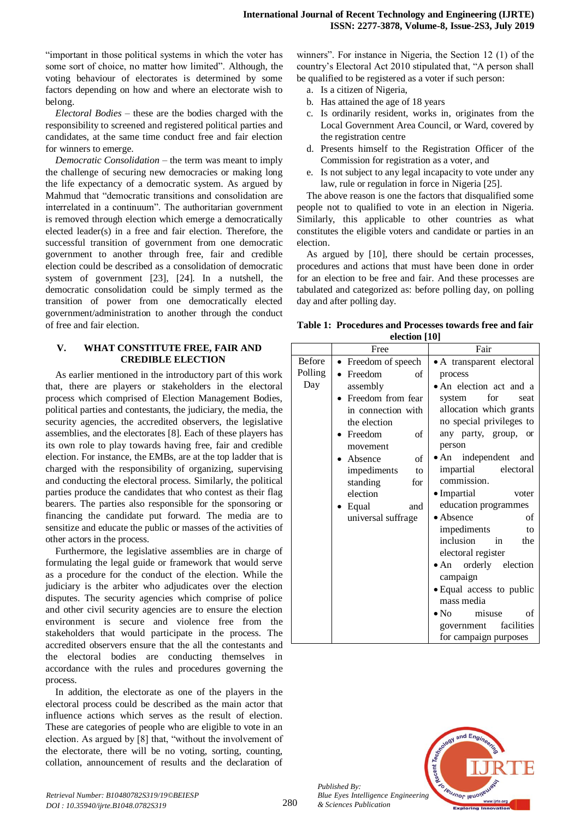"important in those political systems in which the voter has some sort of choice, no matter how limited". Although, the voting behaviour of electorates is determined by some factors depending on how and where an electorate wish to belong.

*Electoral Bodies* – these are the bodies charged with the responsibility to screened and registered political parties and candidates, at the same time conduct free and fair election for winners to emerge.

*Democratic Consolidation* – the term was meant to imply the challenge of securing new democracies or making long the life expectancy of a democratic system. As argued by Mahmud that "democratic transitions and consolidation are interrelated in a continuum". The authoritarian government is removed through election which emerge a democratically elected leader(s) in a free and fair election. Therefore, the successful transition of government from one democratic government to another through free, fair and credible election could be described as a consolidation of democratic system of government [23], [24]. In a nutshell, the democratic consolidation could be simply termed as the transition of power from one democratically elected government/administration to another through the conduct of free and fair election.

#### **V. WHAT CONSTITUTE FREE, FAIR AND CREDIBLE ELECTION**

As earlier mentioned in the introductory part of this work that, there are players or stakeholders in the electoral process which comprised of Election Management Bodies, political parties and contestants, the judiciary, the media, the security agencies, the accredited observers, the legislative assemblies, and the electorates [8]. Each of these players has its own role to play towards having free, fair and credible election. For instance, the EMBs, are at the top ladder that is charged with the responsibility of organizing, supervising and conducting the electoral process. Similarly, the political parties produce the candidates that who contest as their flag bearers. The parties also responsible for the sponsoring or financing the candidate put forward. The media are to sensitize and educate the public or masses of the activities of other actors in the process.

Furthermore, the legislative assemblies are in charge of formulating the legal guide or framework that would serve as a procedure for the conduct of the election. While the judiciary is the arbiter who adjudicates over the election disputes. The security agencies which comprise of police and other civil security agencies are to ensure the election environment is secure and violence free from the stakeholders that would participate in the process. The accredited observers ensure that the all the contestants and the electoral bodies are conducting themselves in accordance with the rules and procedures governing the process.

In addition, the electorate as one of the players in the electoral process could be described as the main actor that influence actions which serves as the result of election. These are categories of people who are eligible to vote in an election. As argued by [8] that, "without the involvement of the electorate, there will be no voting, sorting, counting, collation, announcement of results and the declaration of

winners". For instance in Nigeria, the Section 12 (1) of the country's Electoral Act 2010 stipulated that, "A person shall be qualified to be registered as a voter if such person:

- a. Is a citizen of Nigeria,
- b. Has attained the age of 18 years
- c. Is ordinarily resident, works in, originates from the Local Government Area Council, or Ward, covered by the registration centre
- d. Presents himself to the Registration Officer of the Commission for registration as a voter, and
- e. Is not subject to any legal incapacity to vote under any law, rule or regulation in force in Nigeria [25].

The above reason is one the factors that disqualified some people not to qualified to vote in an election in Nigeria. Similarly, this applicable to other countries as what constitutes the eligible voters and candidate or parties in an election.

As argued by [10], there should be certain processes, procedures and actions that must have been done in order for an election to be free and fair. And these processes are tabulated and categorized as: before polling day, on polling day and after polling day.

|               | Table 1: Procedures and Processes towards free and fair |  |  |
|---------------|---------------------------------------------------------|--|--|
| election [10] |                                                         |  |  |

| enegan [10] |                     |                                        |  |
|-------------|---------------------|----------------------------------------|--|
|             | Free                | Fair                                   |  |
| Before      | • Freedom of speech | • A transparent electoral              |  |
| Polling     | Freedom<br>of       | process                                |  |
| Day         | assembly            | · An election act and a                |  |
|             | Freedom from fear   | for<br>system<br>seat                  |  |
|             | in connection with  | allocation which grants                |  |
|             | the election        | no special privileges to               |  |
|             | Freedom<br>of       | any party, group,<br><b>or</b>         |  |
|             | movement            | person                                 |  |
|             | of<br>Absence       | independent<br>$\bullet$ An<br>and     |  |
|             | impediments<br>to   | impartial<br>electoral                 |  |
|             | standing<br>for     | commission.                            |  |
|             | election            | • Impartial<br>voter                   |  |
|             | Equal<br>and        | education programmes                   |  |
|             | universal suffrage  | $\bullet$ Absence<br>of                |  |
|             |                     | impediments<br>to                      |  |
|             |                     | inclusion<br>the<br>in                 |  |
|             |                     | electoral register                     |  |
|             |                     | • An orderly election                  |  |
|             |                     | campaign                               |  |
|             |                     | • Equal access to public               |  |
|             |                     | mass media                             |  |
|             |                     | $\bullet$ No $\bullet$<br>misuse<br>of |  |
|             |                     | facilities<br>government               |  |
|             |                     | for campaign purposes                  |  |



*Published By:*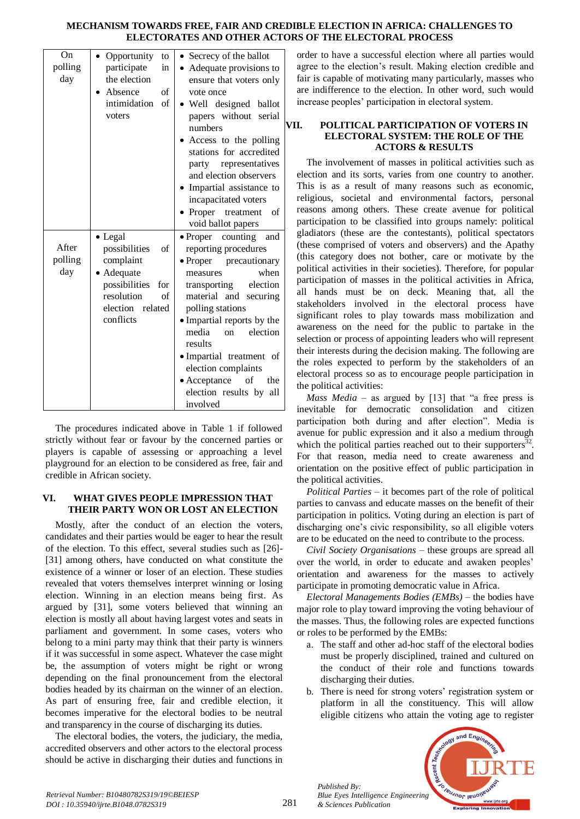#### **MECHANISM TOWARDS FREE, FAIR AND CREDIBLE ELECTION IN AFRICA: CHALLENGES TO ELECTORATES AND OTHER ACTORS OF THE ELECTORAL PROCESS**

| O <sub>n</sub> | Opportunity<br>to    | Secrecy of the ballot          |
|----------------|----------------------|--------------------------------|
| polling        | participate<br>in    | Adequate provisions to         |
| day            | the election         | ensure that voters only        |
|                | Absence<br>of        | vote once                      |
|                | intimidation<br>of   | Well designed ballot           |
|                | voters               | papers without serial          |
|                |                      | numbers                        |
|                |                      | Access to the polling          |
|                |                      | stations for accredited        |
|                |                      | party representatives          |
|                |                      | and election observers         |
|                |                      | Impartial assistance to        |
|                |                      | incapacitated voters           |
|                |                      | Proper<br>treatment<br>of      |
|                |                      | void ballot papers             |
|                | • Legal              | • Proper counting<br>and       |
| After          | possibilities<br>of  | reporting procedures           |
| polling        | complaint            | • Proper precautionary         |
| day            | • Adequate           | when<br>measures               |
|                | possibilities<br>for | transporting<br>election       |
|                | resolution<br>of     | material and securing          |
|                | election related     | polling stations               |
|                | conflicts            | • Impartial reports by the     |
|                |                      | election<br>media<br>on        |
|                |                      | results                        |
|                |                      | • Impartial treatment of       |
|                |                      |                                |
|                |                      | election complaints            |
|                |                      | $\bullet$ Acceptance of<br>the |
|                |                      | election results by all        |
|                |                      | involved                       |

The procedures indicated above in Table 1 if followed strictly without fear or favour by the concerned parties or players is capable of assessing or approaching a level playground for an election to be considered as free, fair and credible in African society.

### **VI. WHAT GIVES PEOPLE IMPRESSION THAT THEIR PARTY WON OR LOST AN ELECTION**

Mostly, after the conduct of an election the voters, candidates and their parties would be eager to hear the result of the election. To this effect, several studies such as [26]- [31] among others, have conducted on what constitute the existence of a winner or loser of an election. These studies revealed that voters themselves interpret winning or losing election. Winning in an election means being first. As argued by [31], some voters believed that winning an election is mostly all about having largest votes and seats in parliament and government. In some cases, voters who belong to a mini party may think that their party is winners if it was successful in some aspect. Whatever the case might be, the assumption of voters might be right or wrong depending on the final pronouncement from the electoral bodies headed by its chairman on the winner of an election. As part of ensuring free, fair and credible election, it becomes imperative for the electoral bodies to be neutral and transparency in the course of discharging its duties.

The electoral bodies, the voters, the judiciary, the media, accredited observers and other actors to the electoral process should be active in discharging their duties and functions in

order to have a successful election where all parties would agree to the election's result. Making election credible and fair is capable of motivating many particularly, masses who are indifference to the election. In other word, such would increase peoples' participation in electoral system.

### **VII. POLITICAL PARTICIPATION OF VOTERS IN ELECTORAL SYSTEM: THE ROLE OF THE ACTORS & RESULTS**

The involvement of masses in political activities such as election and its sorts, varies from one country to another. This is as a result of many reasons such as economic, religious, societal and environmental factors, personal reasons among others. These create avenue for political participation to be classified into groups namely: political gladiators (these are the contestants), political spectators (these comprised of voters and observers) and the Apathy (this category does not bother, care or motivate by the political activities in their societies). Therefore, for popular participation of masses in the political activities in Africa, all hands must be on deck. Meaning that, all the stakeholders involved in the electoral process have significant roles to play towards mass mobilization and awareness on the need for the public to partake in the selection or process of appointing leaders who will represent their interests during the decision making. The following are the roles expected to perform by the stakeholders of an electoral process so as to encourage people participation in the political activities:

*Mass Media* – as argued by [13] that "a free press is inevitable for democratic consolidation and citizen participation both during and after election". Media is avenue for public expression and it also a medium through which the political parties reached out to their supporters $32$ . For that reason, media need to create awareness and orientation on the positive effect of public participation in the political activities.

*Political Parties –* it becomes part of the role of political parties to canvass and educate masses on the benefit of their participation in politics. Voting during an election is part of discharging one's civic responsibility, so all eligible voters are to be educated on the need to contribute to the process.

*Civil Society Organisations –* these groups are spread all over the world, in order to educate and awaken peoples' orientation and awareness for the masses to actively participate in promoting democratic value in Africa.

*Electoral Managements Bodies (EMBs) –* the bodies have major role to play toward improving the voting behaviour of the masses. Thus, the following roles are expected functions or roles to be performed by the EMBs:

- a. The staff and other ad-hoc staff of the electoral bodies must be properly disciplined, trained and cultured on the conduct of their role and functions towards discharging their duties.
- b. There is need for strong voters' registration system or platform in all the constituency. This will allow eligible citizens who attain the voting age to register



*Retrieval Number: B10480782S319/19©BEIESP DOI : 10.35940/ijrte.B1048.0782S319*

*Published By:*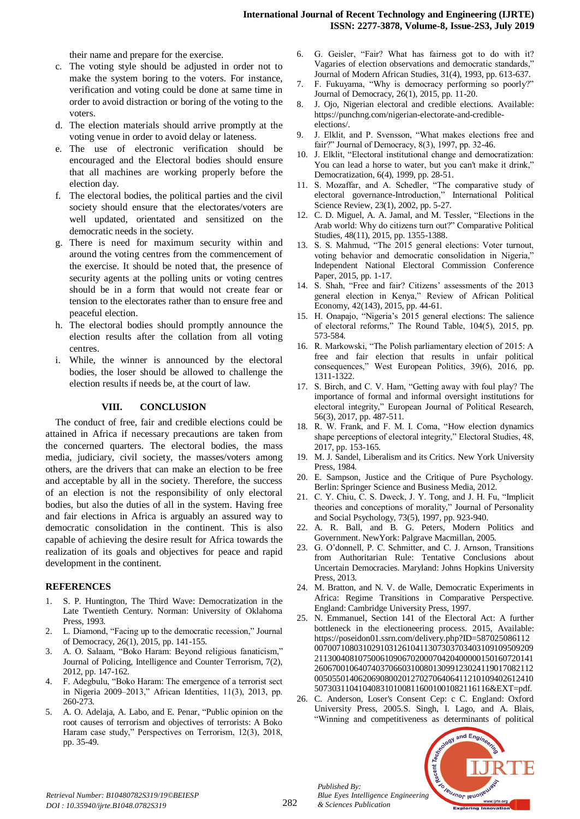their name and prepare for the exercise.

- c. The voting style should be adjusted in order not to make the system boring to the voters. For instance, verification and voting could be done at same time in order to avoid distraction or boring of the voting to the voters.
- d. The election materials should arrive promptly at the voting venue in order to avoid delay or lateness.
- e. The use of electronic verification should be encouraged and the Electoral bodies should ensure that all machines are working properly before the election day.
- f. The electoral bodies, the political parties and the civil society should ensure that the electorates/voters are well updated, orientated and sensitized on the democratic needs in the society.
- g. There is need for maximum security within and around the voting centres from the commencement of the exercise. It should be noted that, the presence of security agents at the polling units or voting centres should be in a form that would not create fear or tension to the electorates rather than to ensure free and peaceful election.
- h. The electoral bodies should promptly announce the election results after the collation from all voting centres.
- i. While, the winner is announced by the electoral bodies, the loser should be allowed to challenge the election results if needs be, at the court of law.

#### **VIII. CONCLUSION**

The conduct of free, fair and credible elections could be attained in Africa if necessary precautions are taken from the concerned quarters. The electoral bodies, the mass media, judiciary, civil society, the masses/voters among others, are the drivers that can make an election to be free and acceptable by all in the society. Therefore, the success of an election is not the responsibility of only electoral bodies, but also the duties of all in the system. Having free and fair elections in Africa is arguably an assured way to democratic consolidation in the continent. This is also capable of achieving the desire result for Africa towards the realization of its goals and objectives for peace and rapid development in the continent.

#### **REFERENCES**

- 1. S. P. Huntington, The Third Wave: Democratization in the Late Twentieth Century. Norman: University of Oklahoma Press, 1993.
- 2. L. Diamond, "Facing up to the democratic recession," Journal of Democracy, 26(1), 2015, pp. 141-155.
- 3. A. O. Salaam, "Boko Haram: Beyond religious fanaticism," Journal of Policing, Intelligence and Counter Terrorism, 7(2), 2012, pp. 147-162.
- 4. F. Adegbulu, "Boko Haram: The emergence of a terrorist sect in Nigeria 2009–2013," African Identities, 11(3), 2013, pp. 260-273.
- 5. A. O. Adelaja, A. Labo, and E. Penar, "Public opinion on the root causes of terrorism and objectives of terrorists: A Boko Haram case study," Perspectives on Terrorism, 12(3), 2018, pp. 35-49.
- 6. G. Geisler, "Fair? What has fairness got to do with it? Vagaries of election observations and democratic standards," Journal of Modern African Studies, 31(4), 1993, pp. 613-637.
- 7. F. Fukuyama, "Why is democracy performing so poorly?" Journal of Democracy, 26(1), 2015, pp. 11-20.
- 8. J. Ojo, Nigerian electoral and credible elections. Available: https://punchng.com/nigerian-electorate-and-credibleelections/.
- 9. J. Elklit, and P. Svensson, "What makes elections free and fair?" Journal of Democracy, 8(3), 1997, pp. 32-46.
- 10. J. Elklit, "Electoral institutional change and democratization: You can lead a horse to water, but you can't make it drink," Democratization, 6(4), 1999, pp. 28-51.
- 11. S. Mozaffar, and A. Schedler, "The comparative study of electoral governance-Introduction," International Political Science Review, 23(1), 2002, pp. 5-27.
- 12. C. D. Miguel, A. A. Jamal, and M. Tessler, "Elections in the Arab world: Why do citizens turn out?" Comparative Political Studies, 48(11), 2015, pp. 1355-1388.
- 13. S. S. Mahmud, "The 2015 general elections: Voter turnout, voting behavior and democratic consolidation in Nigeria," Independent National Electoral Commission Conference Paper, 2015, pp. 1-17.
- 14. S. Shah, "Free and fair? Citizens' assessments of the 2013 general election in Kenya," Review of African Political Economy, 42(143), 2015, pp. 44-61.
- 15. H. Onapajo, "Nigeria's 2015 general elections: The salience of electoral reforms," The Round Table, 104(5), 2015, pp. 573-584.
- 16. R. Markowski, "The Polish parliamentary election of 2015: A free and fair election that results in unfair political consequences," West European Politics, 39(6), 2016, pp. 1311-1322.
- 17. S. Birch, and C. V. Ham, "Getting away with foul play? The importance of formal and informal oversight institutions for electoral integrity," European Journal of Political Research, 56(3), 2017, pp. 487-511.
- 18. R. W. Frank, and F. M. I. Coma, "How election dynamics shape perceptions of electoral integrity," Electoral Studies, 48, 2017, pp. 153-165.
- 19. M. J. Sandel, Liberalism and its Critics. New York University Press, 1984.
- 20. E. Sampson, Justice and the Critique of Pure Psychology. Berlin: Springer Science and Business Media, 2012.
- 21. C. Y. Chiu, C. S. Dweck, J. Y. Tong, and J. H. Fu, "Implicit theories and conceptions of morality," Journal of Personality and Social Psychology, 73(5), 1997, pp. 923-940.
- 22. A. R. Ball, and B. G. Peters, Modern Politics and Government. NewYork: Palgrave Macmillan, 2005.
- 23. G. O'donnell, P. C. Schmitter, and C. J. Arnson, Transitions from Authoritarian Rule: Tentative Conclusions about Uncertain Democracies. Maryland: Johns Hopkins University Press, 2013.
- 24. M. Bratton, and N. V. de Walle, Democratic Experiments in Africa: Regime Transitions in Comparative Perspective. England: Cambridge University Press, 1997.
- 25. N. Emmanuel, Section 141 of the Electoral Act: A further bottleneck in the electioneering process. 2015, Available: https://poseidon01.ssrn.com/delivery.php?ID=587025086112 00700710803102910312610411307303703403109109509209 21130040810750061090670200070420400000150160720141 26067001064074037066031008013099123024119017082112 00505501406206908002012702706406411210109402612410 5073031104104083101008116001001082116116&EXT=pdf.
- 26. C. Anderson, Loser's Consent Cep: c C. England: Oxford University Press, 2005.S. Singh, I. Lago, and A. Blais, "Winning and competitiveness as determinants of political



*Published By:*